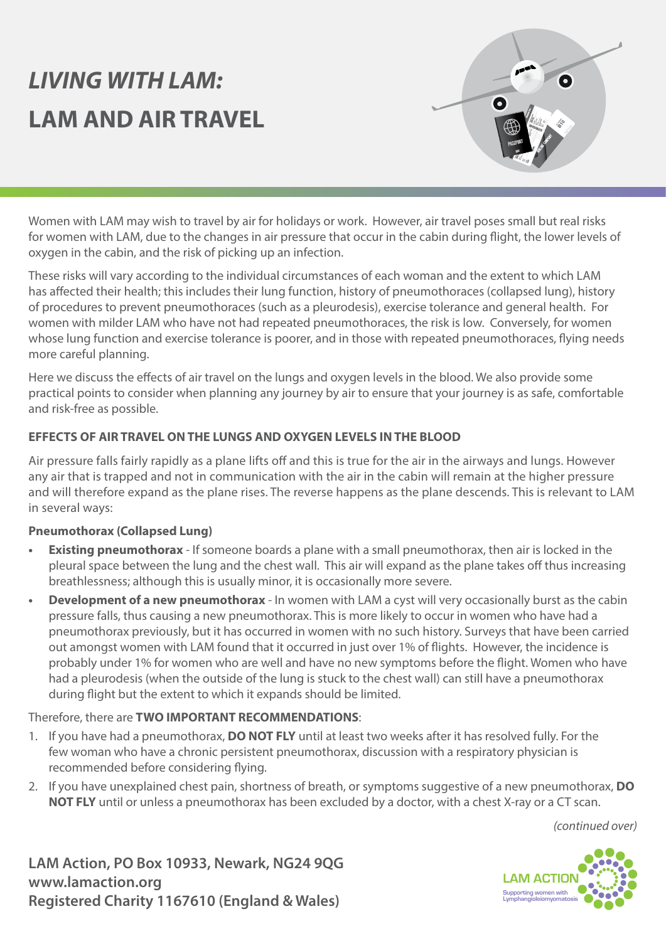# *LIVING WITH LAM:* **LAM AND AIR TRAVEL**



Women with LAM may wish to travel by air for holidays or work. However, air travel poses small but real risks for women with LAM, due to the changes in air pressure that occur in the cabin during flight, the lower levels of oxygen in the cabin, and the risk of picking up an infection.

These risks will vary according to the individual circumstances of each woman and the extent to which LAM has affected their health; this includes their lung function, history of pneumothoraces (collapsed lung), history of procedures to prevent pneumothoraces (such as a pleurodesis), exercise tolerance and general health. For women with milder LAM who have not had repeated pneumothoraces, the risk is low. Conversely, for women whose lung function and exercise tolerance is poorer, and in those with repeated pneumothoraces, flying needs more careful planning.

Here we discuss the effects of air travel on the lungs and oxygen levels in the blood. We also provide some practical points to consider when planning any journey by air to ensure that your journey is as safe, comfortable and risk-free as possible.

# **EFFECTS OF AIR TRAVEL ON THE LUNGS AND OXYGEN LEVELS IN THE BLOOD**

Air pressure falls fairly rapidly as a plane lifts off and this is true for the air in the airways and lungs. However any air that is trapped and not in communication with the air in the cabin will remain at the higher pressure and will therefore expand as the plane rises. The reverse happens as the plane descends. This is relevant to LAM in several ways:

#### **Pneumothorax (Collapsed Lung)**

- **• Existing pneumothorax** If someone boards a plane with a small pneumothorax, then air is locked in the pleural space between the lung and the chest wall. This air will expand as the plane takes off thus increasing breathlessness; although this is usually minor, it is occasionally more severe.
- **Development of a new pneumothorax** In women with LAM a cyst will very occasionally burst as the cabin pressure falls, thus causing a new pneumothorax. This is more likely to occur in women who have had a pneumothorax previously, but it has occurred in women with no such history. Surveys that have been carried out amongst women with LAM found that it occurred in just over 1% of flights. However, the incidence is probably under 1% for women who are well and have no new symptoms before the flight. Women who have had a pleurodesis (when the outside of the lung is stuck to the chest wall) can still have a pneumothorax during flight but the extent to which it expands should be limited.

#### Therefore, there are **TWO IMPORTANT RECOMMENDATIONS**:

- 1. If you have had a pneumothorax, **DO NOT FLY** until at least two weeks after it has resolved fully. For the few woman who have a chronic persistent pneumothorax, discussion with a respiratory physician is recommended before considering flying.
- 2. If you have unexplained chest pain, shortness of breath, or symptoms suggestive of a new pneumothorax, **DO NOT FLY** until or unless a pneumothorax has been excluded by a doctor, with a chest X-ray or a CT scan.

*(continued over)*

**LAM Action, PO Box 10933, Newark, NG24 9QG www.lamaction.org Registered Charity 1167610 (England & Wales)**